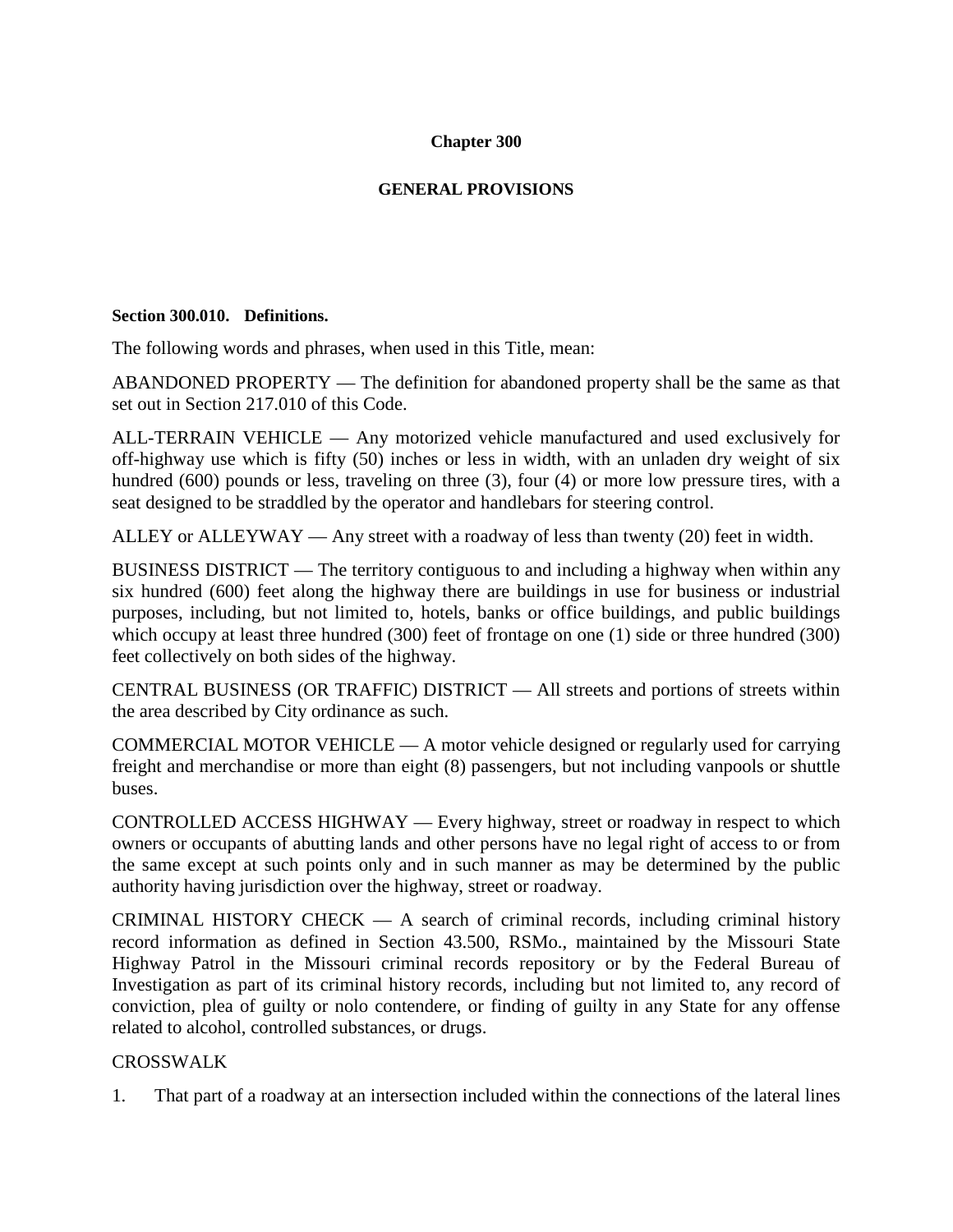### **Chapter 300**

## **GENERAL PROVISIONS**

### **Section 300.010. Definitions.**

The following words and phrases, when used in this Title, mean:

ABANDONED PROPERTY — The definition for abandoned property shall be the same as that set out in Section 217.010 of this Code.

ALL-TERRAIN VEHICLE — Any motorized vehicle manufactured and used exclusively for off-highway use which is fifty (50) inches or less in width, with an unladen dry weight of six hundred (600) pounds or less, traveling on three (3), four (4) or more low pressure tires, with a seat designed to be straddled by the operator and handlebars for steering control.

ALLEY or ALLEYWAY — Any street with a roadway of less than twenty (20) feet in width.

BUSINESS DISTRICT — The territory contiguous to and including a highway when within any six hundred (600) feet along the highway there are buildings in use for business or industrial purposes, including, but not limited to, hotels, banks or office buildings, and public buildings which occupy at least three hundred (300) feet of frontage on one (1) side or three hundred (300) feet collectively on both sides of the highway.

CENTRAL BUSINESS (OR TRAFFIC) DISTRICT — All streets and portions of streets within the area described by City ordinance as such.

COMMERCIAL MOTOR VEHICLE — A motor vehicle designed or regularly used for carrying freight and merchandise or more than eight (8) passengers, but not including vanpools or shuttle buses.

CONTROLLED ACCESS HIGHWAY — Every highway, street or roadway in respect to which owners or occupants of abutting lands and other persons have no legal right of access to or from the same except at such points only and in such manner as may be determined by the public authority having jurisdiction over the highway, street or roadway.

CRIMINAL HISTORY CHECK  $- A$  search of criminal records, including criminal history record information as defined in Section 43.500, RSMo., maintained by the Missouri State Highway Patrol in the Missouri criminal records repository or by the Federal Bureau of Investigation as part of its criminal history records, including but not limited to, any record of conviction, plea of guilty or nolo contendere, or finding of guilty in any State for any offense related to alcohol, controlled substances, or drugs.

# CROSSWALK

1. That part of a roadway at an intersection included within the connections of the lateral lines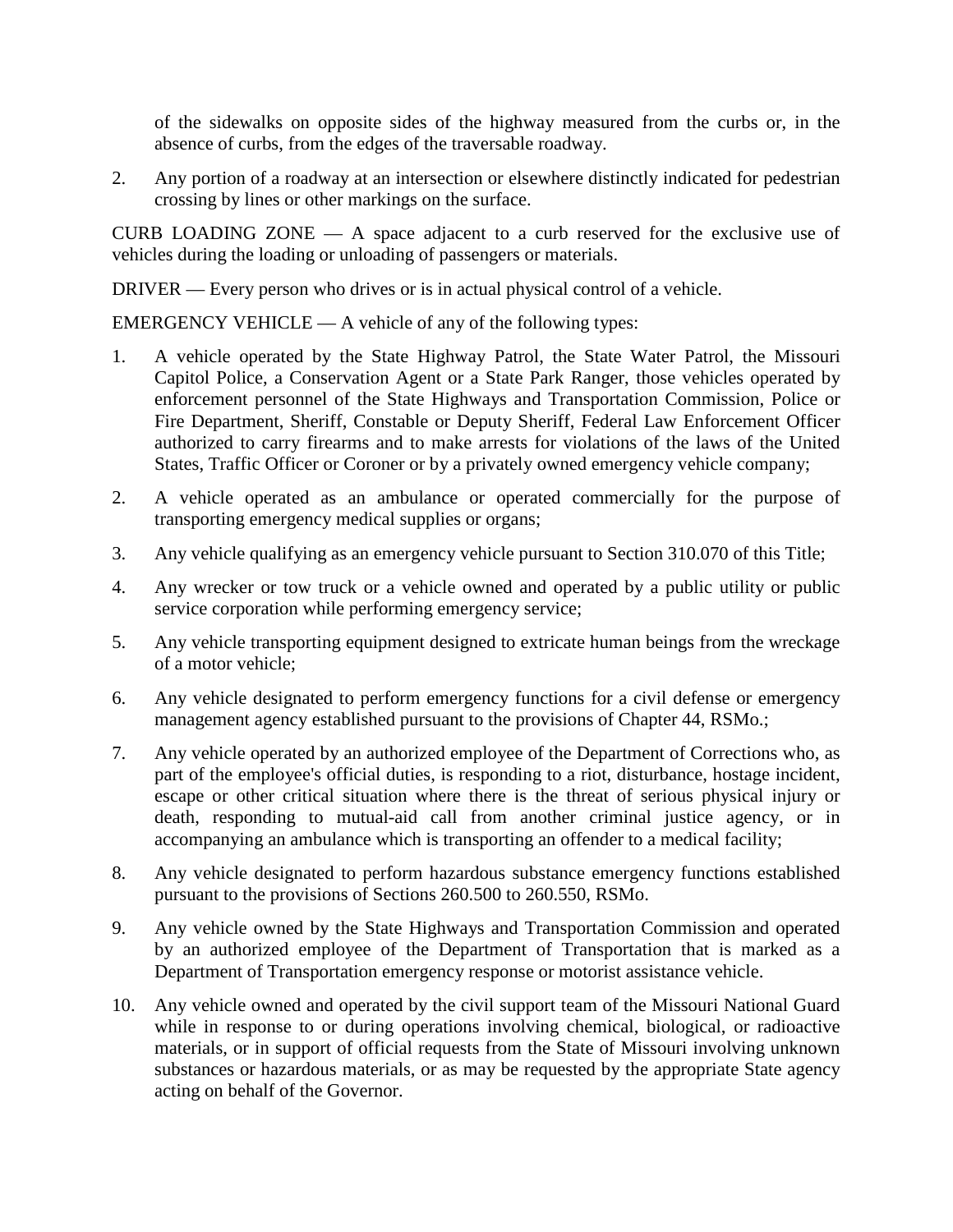of the sidewalks on opposite sides of the highway measured from the curbs or, in the absence of curbs, from the edges of the traversable roadway.

2. Any portion of a roadway at an intersection or elsewhere distinctly indicated for pedestrian crossing by lines or other markings on the surface.

CURB LOADING ZONE — A space adjacent to a curb reserved for the exclusive use of vehicles during the loading or unloading of passengers or materials.

DRIVER — Every person who drives or is in actual physical control of a vehicle.

EMERGENCY VEHICLE  $- A$  vehicle of any of the following types:

- 1. A vehicle operated by the State Highway Patrol, the State Water Patrol, the Missouri Capitol Police, a Conservation Agent or a State Park Ranger, those vehicles operated by enforcement personnel of the State Highways and Transportation Commission, Police or Fire Department, Sheriff, Constable or Deputy Sheriff, Federal Law Enforcement Officer authorized to carry firearms and to make arrests for violations of the laws of the United States, Traffic Officer or Coroner or by a privately owned emergency vehicle company;
- 2. A vehicle operated as an ambulance or operated commercially for the purpose of transporting emergency medical supplies or organs;
- 3. Any vehicle qualifying as an emergency vehicle pursuant to Section 310.070 of this Title;
- 4. Any wrecker or tow truck or a vehicle owned and operated by a public utility or public service corporation while performing emergency service;
- 5. Any vehicle transporting equipment designed to extricate human beings from the wreckage of a motor vehicle;
- 6. Any vehicle designated to perform emergency functions for a civil defense or emergency management agency established pursuant to the provisions of Chapter 44, RSMo.;
- 7. Any vehicle operated by an authorized employee of the Department of Corrections who, as part of the employee's official duties, is responding to a riot, disturbance, hostage incident, escape or other critical situation where there is the threat of serious physical injury or death, responding to mutual-aid call from another criminal justice agency, or in accompanying an ambulance which is transporting an offender to a medical facility;
- 8. Any vehicle designated to perform hazardous substance emergency functions established pursuant to the provisions of Sections 260.500 to 260.550, RSMo.
- 9. Any vehicle owned by the State Highways and Transportation Commission and operated by an authorized employee of the Department of Transportation that is marked as a Department of Transportation emergency response or motorist assistance vehicle.
- 10. Any vehicle owned and operated by the civil support team of the Missouri National Guard while in response to or during operations involving chemical, biological, or radioactive materials, or in support of official requests from the State of Missouri involving unknown substances or hazardous materials, or as may be requested by the appropriate State agency acting on behalf of the Governor.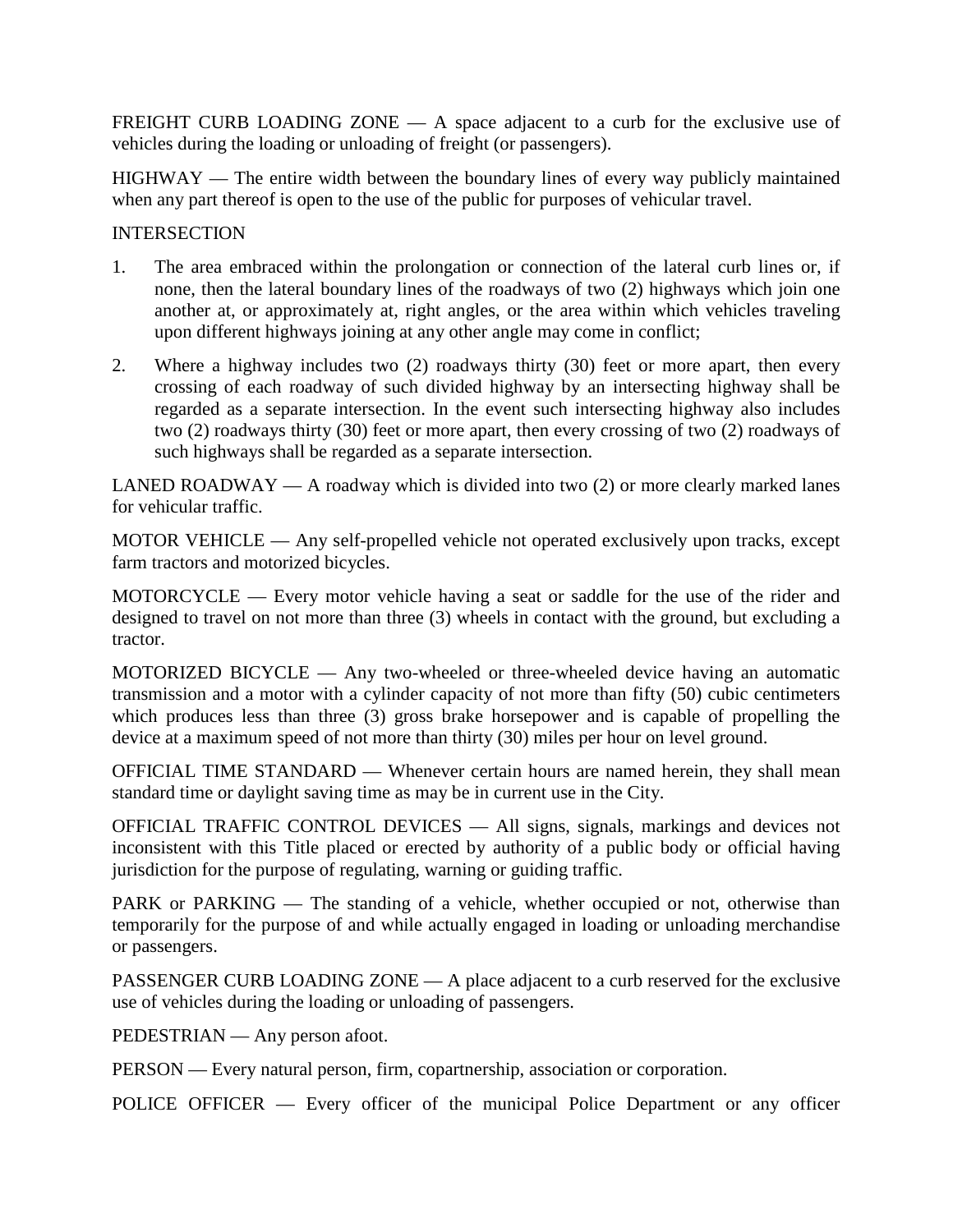FREIGHT CURB LOADING ZONE  $- A$  space adjacent to a curb for the exclusive use of vehicles during the loading or unloading of freight (or passengers).

HIGHWAY — The entire width between the boundary lines of every way publicly maintained when any part thereof is open to the use of the public for purposes of vehicular travel.

#### **INTERSECTION**

- 1. The area embraced within the prolongation or connection of the lateral curb lines or, if none, then the lateral boundary lines of the roadways of two (2) highways which join one another at, or approximately at, right angles, or the area within which vehicles traveling upon different highways joining at any other angle may come in conflict;
- 2. Where a highway includes two (2) roadways thirty (30) feet or more apart, then every crossing of each roadway of such divided highway by an intersecting highway shall be regarded as a separate intersection. In the event such intersecting highway also includes two (2) roadways thirty (30) feet or more apart, then every crossing of two (2) roadways of such highways shall be regarded as a separate intersection.

LANED ROADWAY — A roadway which is divided into two  $(2)$  or more clearly marked lanes for vehicular traffic.

MOTOR VEHICLE — Any self-propelled vehicle not operated exclusively upon tracks, except farm tractors and motorized bicycles.

MOTORCYCLE — Every motor vehicle having a seat or saddle for the use of the rider and designed to travel on not more than three (3) wheels in contact with the ground, but excluding a tractor.

MOTORIZED BICYCLE — Any two-wheeled or three-wheeled device having an automatic transmission and a motor with a cylinder capacity of not more than fifty (50) cubic centimeters which produces less than three (3) gross brake horsepower and is capable of propelling the device at a maximum speed of not more than thirty (30) miles per hour on level ground.

OFFICIAL TIME STANDARD — Whenever certain hours are named herein, they shall mean standard time or daylight saving time as may be in current use in the City.

OFFICIAL TRAFFIC CONTROL DEVICES — All signs, signals, markings and devices not inconsistent with this Title placed or erected by authority of a public body or official having jurisdiction for the purpose of regulating, warning or guiding traffic.

PARK or PARKING — The standing of a vehicle, whether occupied or not, otherwise than temporarily for the purpose of and while actually engaged in loading or unloading merchandise or passengers.

PASSENGER CURB LOADING ZONE — A place adjacent to a curb reserved for the exclusive use of vehicles during the loading or unloading of passengers.

PEDESTRIAN — Any person afoot.

PERSON — Every natural person, firm, copartnership, association or corporation.

POLICE OFFICER — Every officer of the municipal Police Department or any officer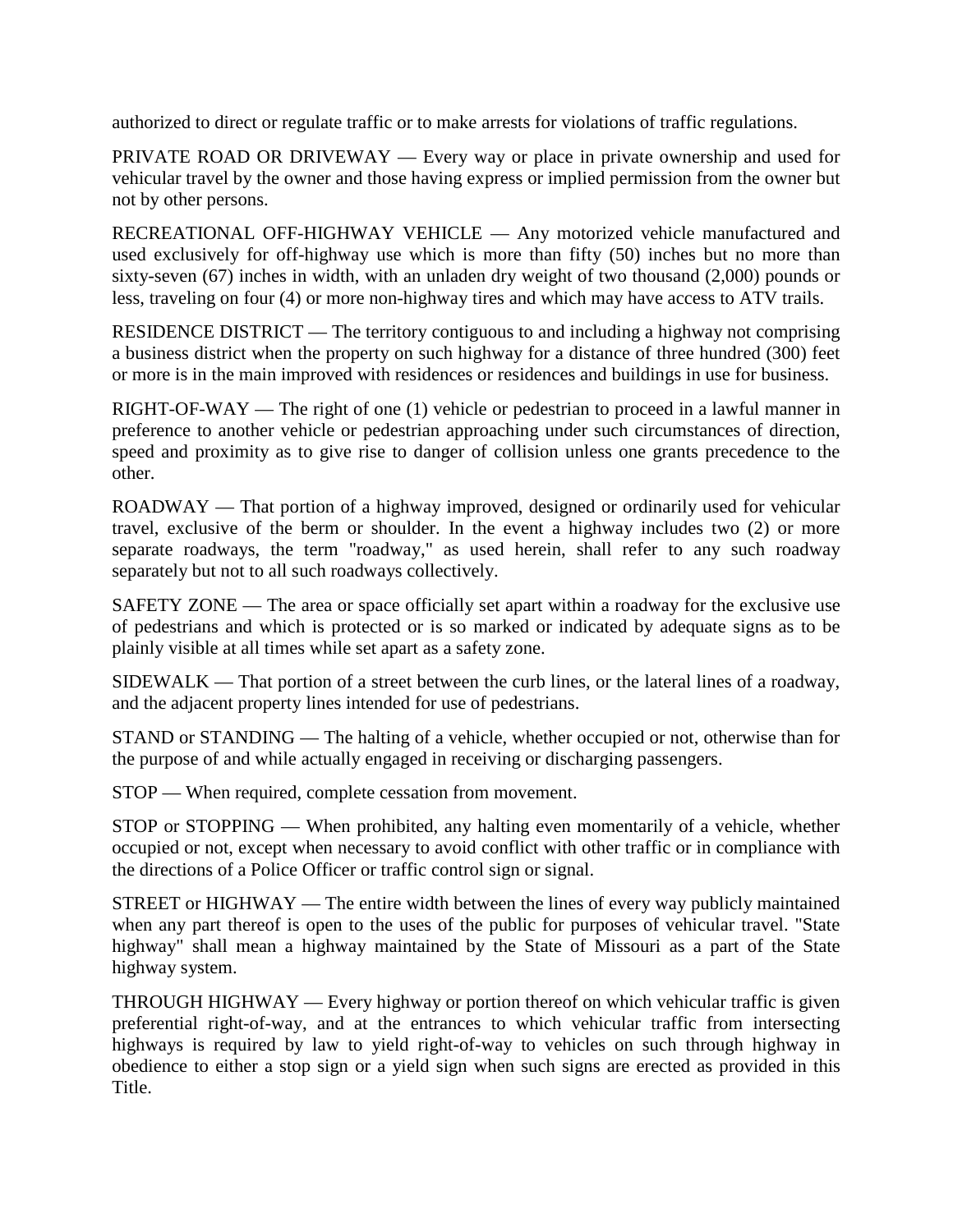authorized to direct or regulate traffic or to make arrests for violations of traffic regulations.

PRIVATE ROAD OR DRIVEWAY — Every way or place in private ownership and used for vehicular travel by the owner and those having express or implied permission from the owner but not by other persons.

RECREATIONAL OFF-HIGHWAY VEHICLE — Any motorized vehicle manufactured and used exclusively for off-highway use which is more than fifty (50) inches but no more than sixty-seven (67) inches in width, with an unladen dry weight of two thousand (2,000) pounds or less, traveling on four (4) or more non-highway tires and which may have access to ATV trails.

RESIDENCE DISTRICT — The territory contiguous to and including a highway not comprising a business district when the property on such highway for a distance of three hundred (300) feet or more is in the main improved with residences or residences and buildings in use for business.

RIGHT-OF-WAY — The right of one (1) vehicle or pedestrian to proceed in a lawful manner in preference to another vehicle or pedestrian approaching under such circumstances of direction, speed and proximity as to give rise to danger of collision unless one grants precedence to the other.

ROADWAY — That portion of a highway improved, designed or ordinarily used for vehicular travel, exclusive of the berm or shoulder. In the event a highway includes two (2) or more separate roadways, the term "roadway," as used herein, shall refer to any such roadway separately but not to all such roadways collectively.

SAFETY ZONE — The area or space officially set apart within a roadway for the exclusive use of pedestrians and which is protected or is so marked or indicated by adequate signs as to be plainly visible at all times while set apart as a safety zone.

SIDEWALK — That portion of a street between the curb lines, or the lateral lines of a roadway, and the adjacent property lines intended for use of pedestrians.

STAND or STANDING — The halting of a vehicle, whether occupied or not, otherwise than for the purpose of and while actually engaged in receiving or discharging passengers.

STOP — When required, complete cessation from movement.

STOP or STOPPING — When prohibited, any halting even momentarily of a vehicle, whether occupied or not, except when necessary to avoid conflict with other traffic or in compliance with the directions of a Police Officer or traffic control sign or signal.

STREET or HIGHWAY — The entire width between the lines of every way publicly maintained when any part thereof is open to the uses of the public for purposes of vehicular travel. "State highway" shall mean a highway maintained by the State of Missouri as a part of the State highway system.

THROUGH HIGHWAY — Every highway or portion thereof on which vehicular traffic is given preferential right-of-way, and at the entrances to which vehicular traffic from intersecting highways is required by law to yield right-of-way to vehicles on such through highway in obedience to either a stop sign or a yield sign when such signs are erected as provided in this Title.